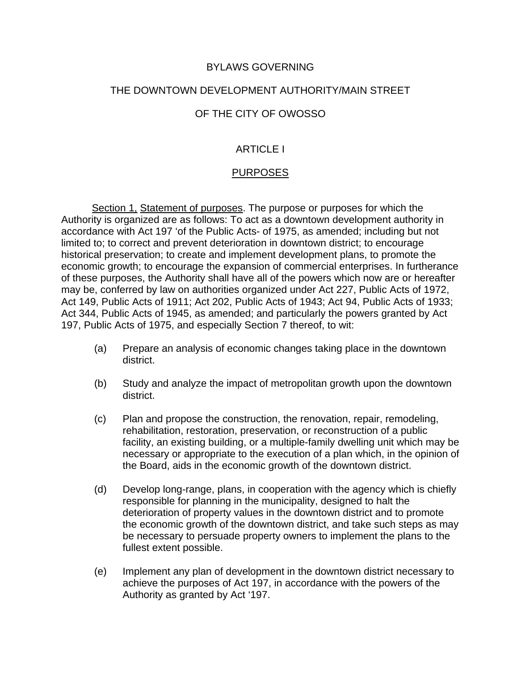### BYLAWS GOVERNING

### THE DOWNTOWN DEVELOPMENT AUTHORITY/MAIN STREET

# OF THE CITY OF OWOSSO

## ARTICLE I

### PURPOSES

Section 1, Statement of purposes. The purpose or purposes for which the Authority is organized are as follows: To act as a downtown development authority in accordance with Act 197 'of the Public Acts- of 1975, as amended; including but not limited to; to correct and prevent deterioration in downtown district; to encourage historical preservation; to create and implement development plans, to promote the economic growth; to encourage the expansion of commercial enterprises. In furtherance of these purposes, the Authority shall have all of the powers which now are or hereafter may be, conferred by law on authorities organized under Act 227, Public Acts of 1972, Act 149, Public Acts of 1911; Act 202, Public Acts of 1943; Act 94, Public Acts of 1933; Act 344, Public Acts of 1945, as amended; and particularly the powers granted by Act 197, Public Acts of 1975, and especially Section 7 thereof, to wit:

- (a) Prepare an analysis of economic changes taking place in the downtown district.
- (b) Study and analyze the impact of metropolitan growth upon the downtown district.
- (c) Plan and propose the construction, the renovation, repair, remodeling, rehabilitation, restoration, preservation, or reconstruction of a public facility, an existing building, or a multiple-family dwelling unit which may be necessary or appropriate to the execution of a plan which, in the opinion of the Board, aids in the economic growth of the downtown district.
- (d) Develop long-range, plans, in cooperation with the agency which is chiefly responsible for planning in the municipality, designed to halt the deterioration of property values in the downtown district and to promote the economic growth of the downtown district, and take such steps as may be necessary to persuade property owners to implement the plans to the fullest extent possible.
- (e) Implement any plan of development in the downtown district necessary to achieve the purposes of Act 197, in accordance with the powers of the Authority as granted by Act '197.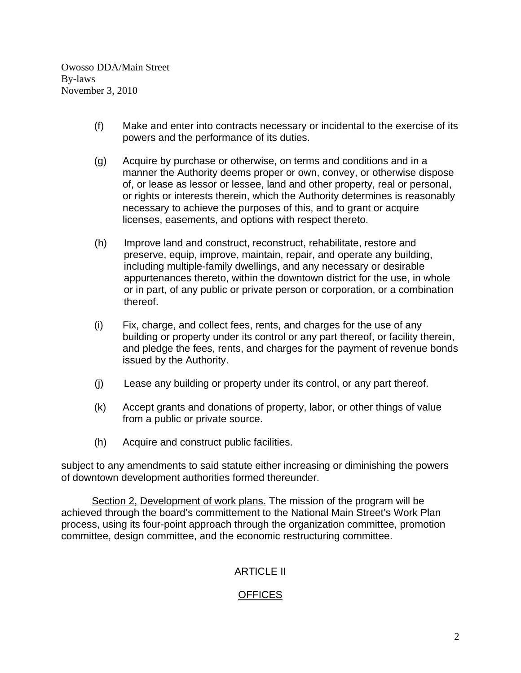- (f) Make and enter into contracts necessary or incidental to the exercise of its powers and the performance of its duties.
- (g) Acquire by purchase or otherwise, on terms and conditions and in a manner the Authority deems proper or own, convey, or otherwise dispose of, or lease as lessor or lessee, land and other property, real or personal, or rights or interests therein, which the Authority determines is reasonably necessary to achieve the purposes of this, and to grant or acquire licenses, easements, and options with respect thereto.
- (h) Improve land and construct, reconstruct, rehabilitate, restore and preserve, equip, improve, maintain, repair, and operate any building, including multiple-family dwellings, and any necessary or desirable appurtenances thereto, within the downtown district for the use, in whole or in part, of any public or private person or corporation, or a combination thereof.
- (i) Fix, charge, and collect fees, rents, and charges for the use of any building or property under its control or any part thereof, or facility therein, and pledge the fees, rents, and charges for the payment of revenue bonds issued by the Authority.
- (j) Lease any building or property under its control, or any part thereof.
- (k) Accept grants and donations of property, labor, or other things of value from a public or private source.
- (h) Acquire and construct public facilities.

subject to any amendments to said statute either increasing or diminishing the powers of downtown development authorities formed thereunder.

Section 2, Development of work plans. The mission of the program will be achieved through the board's committement to the National Main Street's Work Plan process, using its four-point approach through the organization committee, promotion committee, design committee, and the economic restructuring committee.

# ARTICLE II

# OFFICES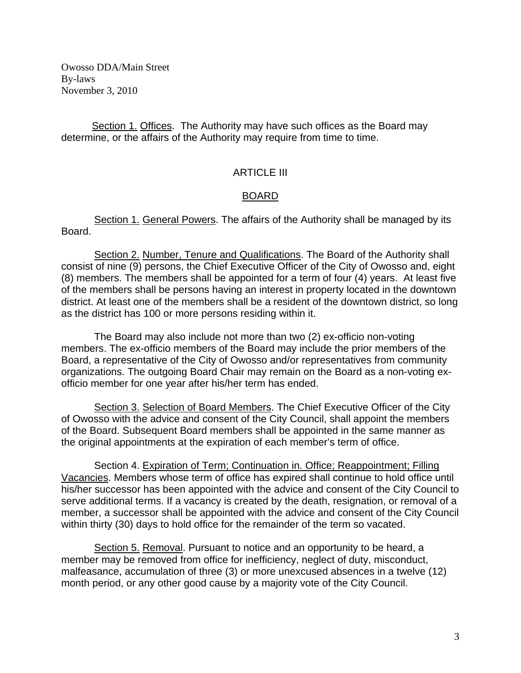Section 1. Offices. The Authority may have such offices as the Board may determine, or the affairs of the Authority may require from time to time.

### ARTICLE III

### BOARD

Section 1. General Powers. The affairs of the Authority shall be managed by its Board.

Section 2. Number, Tenure and Qualifications. The Board of the Authority shall consist of nine (9) persons, the Chief Executive Officer of the City of Owosso and, eight (8) members. The members shall be appointed for a term of four (4) years. At least five of the members shall be persons having an interest in property located in the downtown district. At least one of the members shall be a resident of the downtown district, so long as the district has 100 or more persons residing within it.

The Board may also include not more than two (2) ex-officio non-voting members. The ex-officio members of the Board may include the prior members of the Board, a representative of the City of Owosso and/or representatives from community organizations. The outgoing Board Chair may remain on the Board as a non-voting exofficio member for one year after his/her term has ended.

Section 3. Selection of Board Members. The Chief Executive Officer of the City of Owosso with the advice and consent of the City Council, shall appoint the members of the Board. Subsequent Board members shall be appointed in the same manner as the original appointments at the expiration of each member's term of office.

Section 4. Expiration of Term; Continuation in. Office; Reappointment; Filling Vacancies. Members whose term of office has expired shall continue to hold office until his/her successor has been appointed with the advice and consent of the City Council to serve additional terms. If a vacancy is created by the death, resignation, or removal of a member, a successor shall be appointed with the advice and consent of the City Council within thirty (30) days to hold office for the remainder of the term so vacated.

Section 5. Removal. Pursuant to notice and an opportunity to be heard, a member may be removed from office for inefficiency, neglect of duty, misconduct, malfeasance, accumulation of three (3) or more unexcused absences in a twelve (12) month period, or any other good cause by a majority vote of the City Council.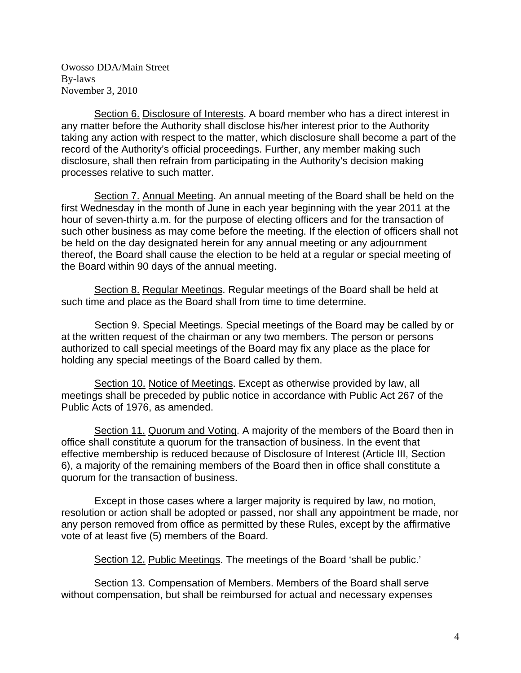Section 6. Disclosure of Interests. A board member who has a direct interest in any matter before the Authority shall disclose his/her interest prior to the Authority taking any action with respect to the matter, which disclosure shall become a part of the record of the Authority's official proceedings. Further, any member making such disclosure, shall then refrain from participating in the Authority's decision making processes relative to such matter.

Section 7. Annual Meeting. An annual meeting of the Board shall be held on the first Wednesday in the month of June in each year beginning with the year 2011 at the hour of seven-thirty a.m. for the purpose of electing officers and for the transaction of such other business as may come before the meeting. If the election of officers shall not be held on the day designated herein for any annual meeting or any adjournment thereof, the Board shall cause the election to be held at a regular or special meeting of the Board within 90 days of the annual meeting.

Section 8. Regular Meetings. Regular meetings of the Board shall be held at such time and place as the Board shall from time to time determine.

Section 9. Special Meetings. Special meetings of the Board may be called by or at the written request of the chairman or any two members. The person or persons authorized to call special meetings of the Board may fix any place as the place for holding any special meetings of the Board called by them.

Section 10. Notice of Meetings. Except as otherwise provided by law, all meetings shall be preceded by public notice in accordance with Public Act 267 of the Public Acts of 1976, as amended.

Section 11. Quorum and Voting. A majority of the members of the Board then in office shall constitute a quorum for the transaction of business. In the event that effective membership is reduced because of Disclosure of Interest (Article III, Section 6), a majority of the remaining members of the Board then in office shall constitute a quorum for the transaction of business.

Except in those cases where a larger majority is required by law, no motion, resolution or action shall be adopted or passed, nor shall any appointment be made, nor any person removed from office as permitted by these Rules, except by the affirmative vote of at least five (5) members of the Board.

Section 12. Public Meetings. The meetings of the Board 'shall be public.'

Section 13. Compensation of Members. Members of the Board shall serve without compensation, but shall be reimbursed for actual and necessary expenses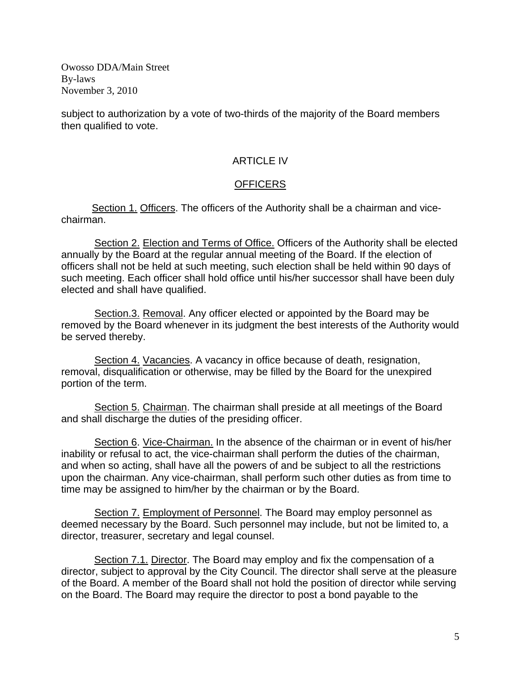subject to authorization by a vote of two-thirds of the majority of the Board members then qualified to vote.

## ARTICLE IV

### **OFFICERS**

Section 1. Officers. The officers of the Authority shall be a chairman and vicechairman.

Section 2. Election and Terms of Office. Officers of the Authority shall be elected annually by the Board at the regular annual meeting of the Board. If the election of officers shall not be held at such meeting, such election shall be held within 90 days of such meeting. Each officer shall hold office until his/her successor shall have been duly elected and shall have qualified.

Section.3. Removal. Any officer elected or appointed by the Board may be removed by the Board whenever in its judgment the best interests of the Authority would be served thereby.

Section 4. Vacancies. A vacancy in office because of death, resignation, removal, disqualification or otherwise, may be filled by the Board for the unexpired portion of the term.

Section 5. Chairman. The chairman shall preside at all meetings of the Board and shall discharge the duties of the presiding officer.

Section 6. Vice-Chairman. In the absence of the chairman or in event of his/her inability or refusal to act, the vice-chairman shall perform the duties of the chairman, and when so acting, shall have all the powers of and be subject to all the restrictions upon the chairman. Any vice-chairman, shall perform such other duties as from time to time may be assigned to him/her by the chairman or by the Board.

Section 7. Employment of Personnel. The Board may employ personnel as deemed necessary by the Board. Such personnel may include, but not be limited to, a director, treasurer, secretary and legal counsel.

Section 7.1. Director. The Board may employ and fix the compensation of a director, subject to approval by the City Council. The director shall serve at the pleasure of the Board. A member of the Board shall not hold the position of director while serving on the Board. The Board may require the director to post a bond payable to the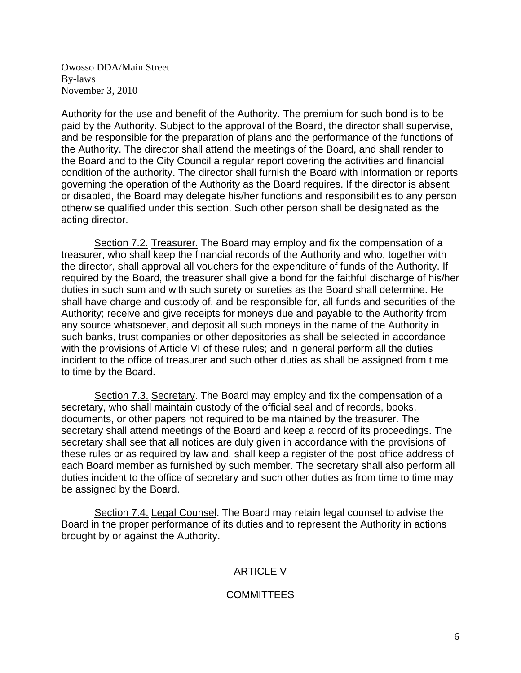Authority for the use and benefit of the Authority. The premium for such bond is to be paid by the Authority. Subject to the approval of the Board, the director shall supervise, and be responsible for the preparation of plans and the performance of the functions of the Authority. The director shall attend the meetings of the Board, and shall render to the Board and to the City Council a regular report covering the activities and financial condition of the authority. The director shall furnish the Board with information or reports governing the operation of the Authority as the Board requires. If the director is absent or disabled, the Board may delegate his/her functions and responsibilities to any person otherwise qualified under this section. Such other person shall be designated as the acting director.

Section 7.2. Treasurer. The Board may employ and fix the compensation of a treasurer, who shall keep the financial records of the Authority and who, together with the director, shall approval all vouchers for the expenditure of funds of the Authority. If required by the Board, the treasurer shall give a bond for the faithful discharge of his/her duties in such sum and with such surety or sureties as the Board shall determine. He shall have charge and custody of, and be responsible for, all funds and securities of the Authority; receive and give receipts for moneys due and payable to the Authority from any source whatsoever, and deposit all such moneys in the name of the Authority in such banks, trust companies or other depositories as shall be selected in accordance with the provisions of Article VI of these rules; and in general perform all the duties incident to the office of treasurer and such other duties as shall be assigned from time to time by the Board.

Section 7.3. Secretary. The Board may employ and fix the compensation of a secretary, who shall maintain custody of the official seal and of records, books, documents, or other papers not required to be maintained by the treasurer. The secretary shall attend meetings of the Board and keep a record of its proceedings. The secretary shall see that all notices are duly given in accordance with the provisions of these rules or as required by law and. shall keep a register of the post office address of each Board member as furnished by such member. The secretary shall also perform all duties incident to the office of secretary and such other duties as from time to time may be assigned by the Board.

Section 7.4. Legal Counsel. The Board may retain legal counsel to advise the Board in the proper performance of its duties and to represent the Authority in actions brought by or against the Authority.

## ARTICLE V

### **COMMITTEES**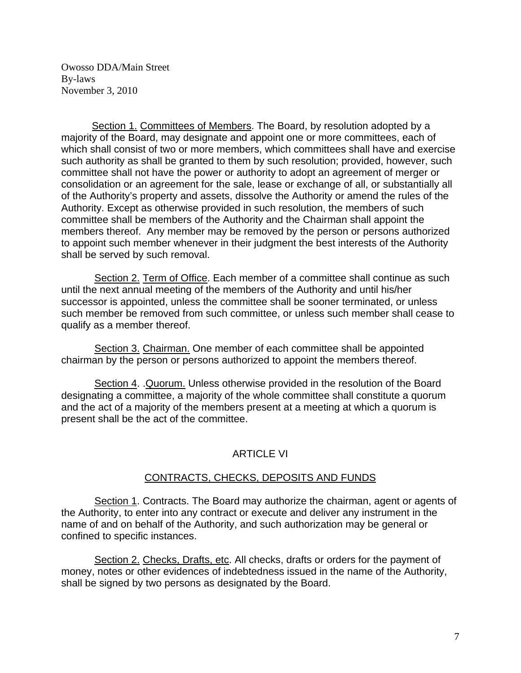Section 1. Committees of Members. The Board, by resolution adopted by a majority of the Board, may designate and appoint one or more committees, each of which shall consist of two or more members, which committees shall have and exercise such authority as shall be granted to them by such resolution; provided, however, such committee shall not have the power or authority to adopt an agreement of merger or consolidation or an agreement for the sale, lease or exchange of all, or substantially all of the Authority's property and assets, dissolve the Authority or amend the rules of the Authority. Except as otherwise provided in such resolution, the members of such committee shall be members of the Authority and the Chairman shall appoint the members thereof. Any member may be removed by the person or persons authorized to appoint such member whenever in their judgment the best interests of the Authority shall be served by such removal.

Section 2. Term of Office. Each member of a committee shall continue as such until the next annual meeting of the members of the Authority and until his/her successor is appointed, unless the committee shall be sooner terminated, or unless such member be removed from such committee, or unless such member shall cease to qualify as a member thereof.

Section 3. Chairman. One member of each committee shall be appointed chairman by the person or persons authorized to appoint the members thereof.

Section 4. .Quorum. Unless otherwise provided in the resolution of the Board designating a committee, a majority of the whole committee shall constitute a quorum and the act of a majority of the members present at a meeting at which a quorum is present shall be the act of the committee.

## ARTICLE VI

### CONTRACTS, CHECKS, DEPOSITS AND FUNDS

Section 1. Contracts. The Board may authorize the chairman, agent or agents of the Authority, to enter into any contract or execute and deliver any instrument in the name of and on behalf of the Authority, and such authorization may be general or confined to specific instances.

Section 2. Checks, Drafts, etc. All checks, drafts or orders for the payment of money, notes or other evidences of indebtedness issued in the name of the Authority, shall be signed by two persons as designated by the Board.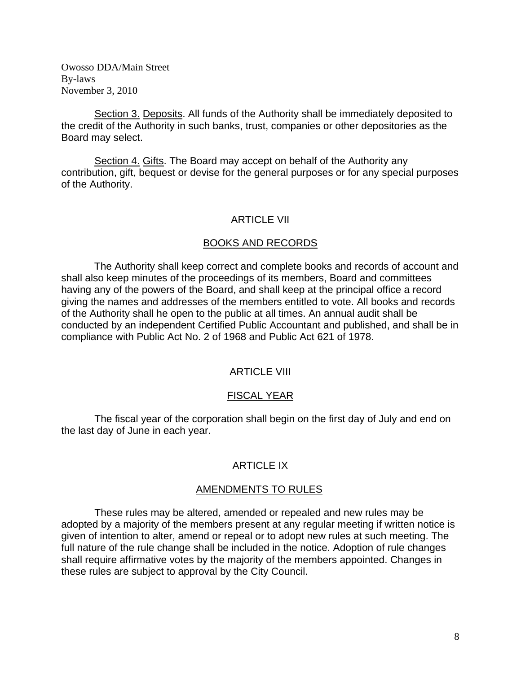Section 3. Deposits. All funds of the Authority shall be immediately deposited to the credit of the Authority in such banks, trust, companies or other depositories as the Board may select.

Section 4. Gifts. The Board may accept on behalf of the Authority any contribution, gift, bequest or devise for the general purposes or for any special purposes of the Authority.

### ARTICLE VII

#### BOOKS AND RECORDS

The Authority shall keep correct and complete books and records of account and shall also keep minutes of the proceedings of its members, Board and committees having any of the powers of the Board, and shall keep at the principal office a record giving the names and addresses of the members entitled to vote. All books and records of the Authority shall he open to the public at all times. An annual audit shall be conducted by an independent Certified Public Accountant and published, and shall be in compliance with Public Act No. 2 of 1968 and Public Act 621 of 1978.

#### ARTICLE VIII

#### FISCAL YEAR

The fiscal year of the corporation shall begin on the first day of July and end on the last day of June in each year.

#### ARTICLE IX

#### AMENDMENTS TO RULES

These rules may be altered, amended or repealed and new rules may be adopted by a majority of the members present at any regular meeting if written notice is given of intention to alter, amend or repeal or to adopt new rules at such meeting. The full nature of the rule change shall be included in the notice. Adoption of rule changes shall require affirmative votes by the majority of the members appointed. Changes in these rules are subject to approval by the City Council.